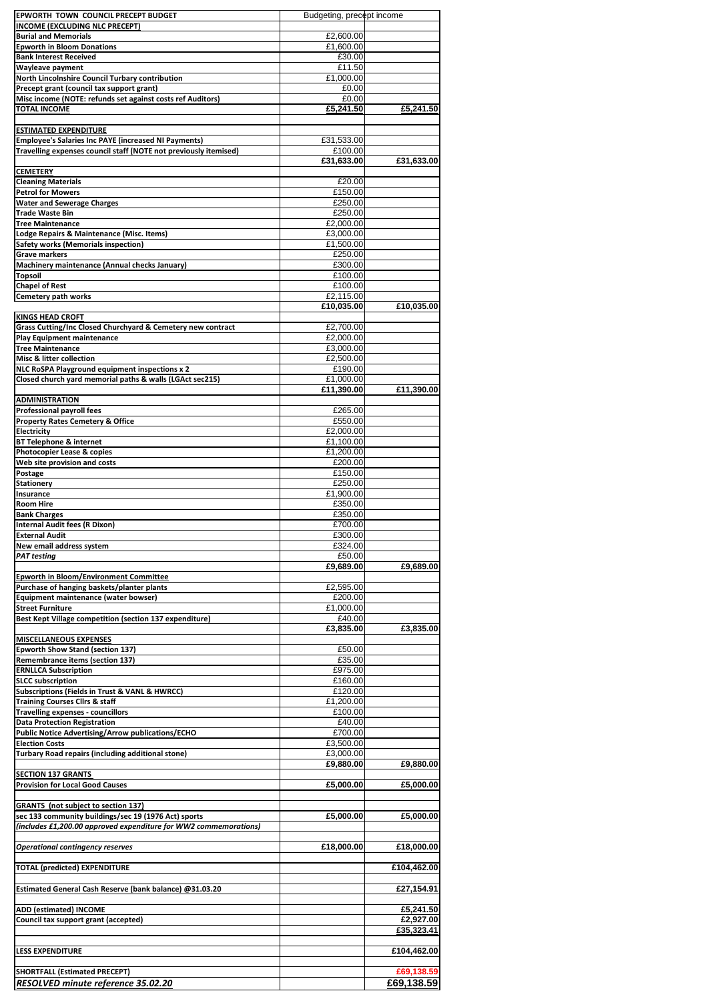| EPWORTH TOWN COUNCIL PRECEPT BUDGET                                                    | Budgeting, precept income |                          |
|----------------------------------------------------------------------------------------|---------------------------|--------------------------|
| <b>INCOME (EXCLUDING NLC PRECEPT)</b>                                                  |                           |                          |
| <b>Burial and Memorials</b>                                                            | £2,600.00                 |                          |
| <b>Epworth in Bloom Donations</b><br><b>Bank Interest Received</b>                     | £1,600.00<br>£30.00       |                          |
| <b>Wayleave payment</b>                                                                | £11.50                    |                          |
| <b>North Lincolnshire Council Turbary contribution</b>                                 | £1,000.00                 |                          |
| Precept grant (council tax support grant)                                              | £0.00                     |                          |
| Misc income (NOTE: refunds set against costs ref Auditors)                             | £0.00                     |                          |
| <b>TOTAL INCOME</b>                                                                    | £5,241.50                 | £5,241.50                |
|                                                                                        |                           |                          |
| <b>ESTIMATED EXPENDITURE</b>                                                           |                           |                          |
| <b>Employee's Salaries Inc PAYE (increased NI Payments)</b>                            | £31,533.00                |                          |
| Travelling expenses council staff (NOTE not previously itemised)                       | £100.00                   |                          |
|                                                                                        | £31,633.00                | £31,633.00               |
| <b>CEMETERY</b>                                                                        |                           |                          |
| <b>Cleaning Materials</b><br><b>Petrol for Mowers</b>                                  | £20.00<br>£150.00         |                          |
| <b>Water and Sewerage Charges</b>                                                      | £250.00                   |                          |
| <b>Trade Waste Bin</b>                                                                 | £250.00                   |                          |
| <b>Tree Maintenance</b>                                                                | £2,000.00                 |                          |
| Lodge Repairs & Maintenance (Misc. Items)                                              | £3,000.00                 |                          |
| <b>Safety works (Memorials inspection)</b>                                             | £1,500.00                 |                          |
| <b>Grave markers</b>                                                                   | £250.00                   |                          |
| Machinery maintenance (Annual checks January)                                          | £300.00                   |                          |
| <b>Topsoil</b>                                                                         | £100.00                   |                          |
| <b>Chapel of Rest</b>                                                                  | £100.00                   |                          |
| <b>Cemetery path works</b>                                                             | £2,115.00                 |                          |
|                                                                                        | £10,035.00                | £10,035.00               |
| <b>KINGS HEAD CROFT</b><br>Grass Cutting/Inc Closed Churchyard & Cemetery new contract | £2,700.00                 |                          |
| <b>Play Equipment maintenance</b>                                                      | £2,000.00                 |                          |
| <b>Tree Maintenance</b>                                                                | £3,000.00                 |                          |
| <b>Misc &amp; litter collection</b>                                                    | £2,500.00                 |                          |
| NLC RoSPA Playground equipment inspections x 2                                         | £190.00                   |                          |
| Closed church yard memorial paths & walls (LGAct sec215)                               | £1,000.00                 |                          |
|                                                                                        | £11,390.00                | £11,390.00               |
| <b>ADMINISTRATION</b>                                                                  |                           |                          |
| <b>Professional payroll fees</b>                                                       | £265.00                   |                          |
| <b>Property Rates Cemetery &amp; Office</b>                                            | £550.00                   |                          |
| Electricity                                                                            | £2,000.00                 |                          |
| <b>BT Telephone &amp; internet</b><br><b>Photocopier Lease &amp; copies</b>            | £1,100.00<br>£1,200.00    |                          |
| Web site provision and costs                                                           | £200.00                   |                          |
| Postage                                                                                | £150.00                   |                          |
| <b>Stationery</b>                                                                      | £250.00                   |                          |
| <b>Insurance</b>                                                                       | £1,900.00                 |                          |
| <b>Room Hire</b>                                                                       | £350.00                   |                          |
| <b>Bank Charges</b>                                                                    | £350.00                   |                          |
| <b>Internal Audit fees (R Dixon)</b>                                                   | £700.00                   |                          |
| <b>External Audit</b>                                                                  | £300.00                   |                          |
| New email address system                                                               | £324.00                   |                          |
| <b>PAT testing</b>                                                                     | £50.00<br>£9,689.00       | £9,689.00                |
| <b>Epworth in Bloom/Environment Committee</b>                                          |                           |                          |
| Purchase of hanging baskets/planter plants                                             | £2,595.00                 |                          |
| Equipment maintenance (water bowser)                                                   | £200.00                   |                          |
| <b>Street Furniture</b>                                                                | £1,000.00                 |                          |
| Best Kept Village competition (section 137 expenditure)                                | £40.00                    |                          |
|                                                                                        | £3,835.00                 | £3,835.00                |
| <b>MISCELLANEOUS EXPENSES</b>                                                          |                           |                          |
| <b>Epworth Show Stand (section 137)</b>                                                | £50.00                    |                          |
| <b>Remembrance items (section 137)</b>                                                 | £35.00                    |                          |
| <b>ERNLLCA Subscription</b><br><b>SLCC subscription</b>                                | £975.00<br>£160.00        |                          |
| <b>Subscriptions (Fields in Trust &amp; VANL &amp; HWRCC)</b>                          | £120.00                   |                          |
| <b>Training Courses Cllrs &amp; staff</b>                                              | £1,200.00                 |                          |
| <b>Travelling expenses - councillors</b>                                               | £100.00                   |                          |
| <b>Data Protection Registration</b>                                                    | £40.00                    |                          |
| <b>Public Notice Advertising/Arrow publications/ECHO</b>                               | £700.00                   |                          |
| <b>Election Costs</b>                                                                  | £3,500.00                 |                          |
| Turbary Road repairs (including additional stone)                                      | £3,000.00                 |                          |
|                                                                                        | £9,880.00                 | £9,880.00                |
| <b>SECTION 137 GRANTS</b><br><b>Provision for Local Good Causes</b>                    | £5,000.00                 | £5,000.00                |
|                                                                                        |                           |                          |
| <b>GRANTS</b> (not subject to section 137)                                             |                           |                          |
| sec 133 community buildings/sec 19 (1976 Act) sports                                   | £5,000.00                 | £5,000.00                |
| (includes £1,200.00 approved expenditure for WW2 commemorations)                       |                           |                          |
|                                                                                        |                           |                          |
| <b>Operational contingency reserves</b>                                                | £18,000.00                | £18,000.00               |
|                                                                                        |                           |                          |
| <b>TOTAL (predicted) EXPENDITURE</b>                                                   |                           | £104,462.00              |
|                                                                                        |                           |                          |
| Estimated General Cash Reserve (bank balance) @31.03.20                                |                           | £27,154.91               |
|                                                                                        |                           |                          |
|                                                                                        |                           |                          |
| <b>ADD (estimated) INCOME</b>                                                          |                           | £5,241.50                |
| Council tax support grant (accepted)                                                   |                           | £2,927.00                |
|                                                                                        |                           | £35,323.41               |
| <b>LESS EXPENDITURE</b>                                                                |                           | £104,462.00              |
|                                                                                        |                           |                          |
| <b>SHORTFALL (Estimated PRECEPT)</b><br>RESOLVED minute reference 35.02.20             |                           | £69,138.59<br>£69,138.59 |